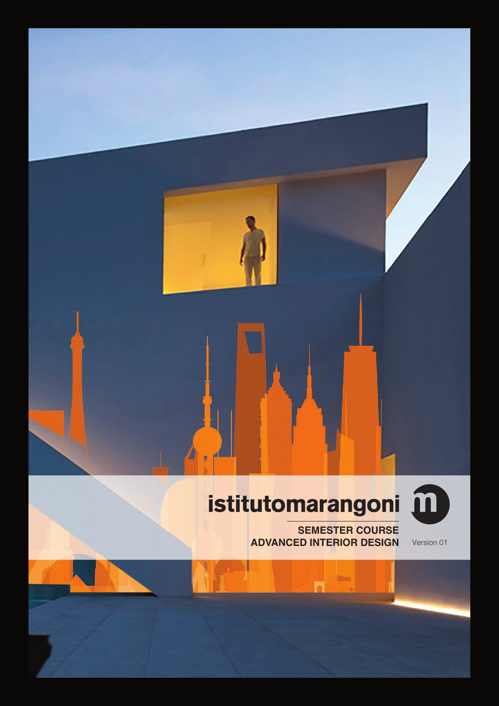# istitutomarangoni m

**SEMESTER COURSE ADVANCED INTERIOR DESIGN** Version 01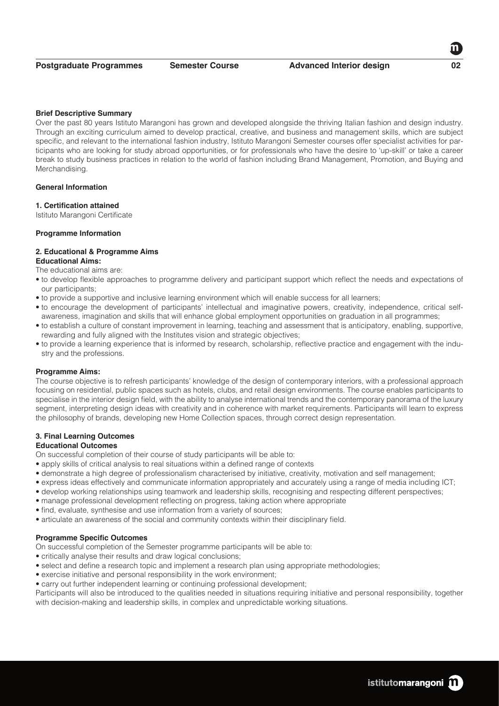#### **Brief Descriptive Summary**

Over the past 80 years Istituto Marangoni has grown and developed alongside the thriving Italian fashion and design industry. Through an exciting curriculum aimed to develop practical, creative, and business and management skills, which are subject specific, and relevant to the international fashion industry, Istituto Marangoni Semester courses offer specialist activities for participants who are looking for study abroad opportunities, or for professionals who have the desire to 'up-skill' or take a career break to study business practices in relation to the world of fashion including Brand Management, Promotion, and Buying and Merchandising.

# **General Information**

#### **1. Certification attained**

Istituto Marangoni Certificate

#### **Programme Information**

#### **2. Educational & Programme Aims Educational Aims:**

The educational aims are:

- to develop flexible approaches to programme delivery and participant support which reflect the needs and expectations of our participants;
- to provide a supportive and inclusive learning environment which will enable success for all learners;
- to encourage the development of participants' intellectual and imaginative powers, creativity, independence, critical selfawareness, imagination and skills that will enhance global employment opportunities on graduation in all programmes;
- to establish a culture of constant improvement in learning, teaching and assessment that is anticipatory, enabling, supportive, rewarding and fully aligned with the Institutes vision and strategic objectives;
- to provide a learning experience that is informed by research, scholarship, reflective practice and engagement with the industry and the professions.

#### **Programme Aims:**

The course objective is to refresh participants' knowledge of the design of contemporary interiors, with a professional approach focusing on residential, public spaces such as hotels, clubs, and retail design environments. The course enables participants to specialise in the interior design field, with the ability to analyse international trends and the contemporary panorama of the luxury segment, interpreting design ideas with creativity and in coherence with market requirements. Participants will learn to express the philosophy of brands, developing new Home Collection spaces, through correct design representation.

#### **3. Final Learning Outcomes**

### **Educational Outcomes**

On successful completion of their course of study participants will be able to:

- apply skills of critical analysis to real situations within a defined range of contexts
- demonstrate a high degree of professionalism characterised by initiative, creativity, motivation and self management;
- express ideas effectively and communicate information appropriately and accurately using a range of media including ICT;
- develop working relationships using teamwork and leadership skills, recognising and respecting different perspectives;
- manage professional development reflecting on progress, taking action where appropriate
- find, evaluate, synthesise and use information from a variety of sources;
- articulate an awareness of the social and community contexts within their disciplinary field.

#### **Programme Specific Outcomes**

On successful completion of the Semester programme participants will be able to:

- critically analyse their results and draw logical conclusions;
- select and define a research topic and implement a research plan using appropriate methodologies;
- exercise initiative and personal responsibility in the work environment;
- carry out further independent learning or continuing professional development;

Participants will also be introduced to the qualities needed in situations requiring initiative and personal responsibility, together with decision-making and leadership skills, in complex and unpredictable working situations.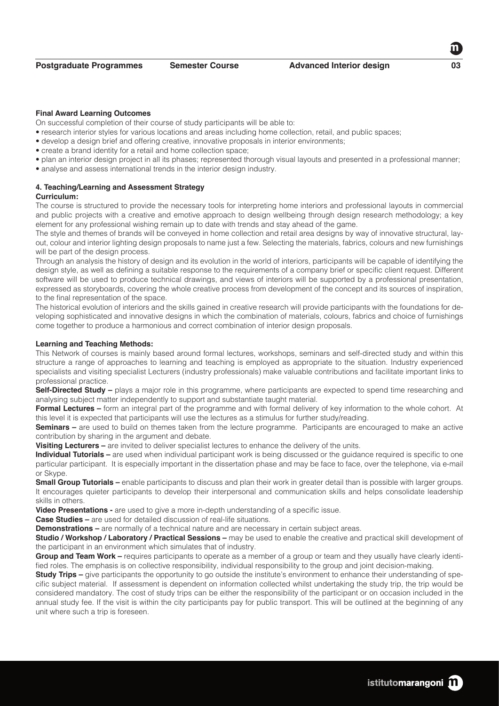#### **Final Award Learning Outcomes**

On successful completion of their course of study participants will be able to:

- research interior styles for various locations and areas including home collection, retail, and public spaces;
- develop a design brief and offering creative, innovative proposals in interior environments;
- create a brand identity for a retail and home collection space;
- plan an interior design project in all its phases; represented thorough visual layouts and presented in a professional manner;
- analyse and assess international trends in the interior design industry.

# **4. Teaching/Learning and Assessment Strategy**

# **Curriculum:**

The course is structured to provide the necessary tools for interpreting home interiors and professional layouts in commercial and public projects with a creative and emotive approach to design wellbeing through design research methodology; a key element for any professional wishing remain up to date with trends and stay ahead of the game.

The style and themes of brands will be conveyed in home collection and retail area designs by way of innovative structural, layout, colour and interior lighting design proposals to name just a few. Selecting the materials, fabrics, colours and new furnishings will be part of the design process.

Through an analysis the history of design and its evolution in the world of interiors, participants will be capable of identifying the design style, as well as defining a suitable response to the requirements of a company brief or specific client request. Different software will be used to produce technical drawings, and views of interiors will be supported by a professional presentation, expressed as storyboards, covering the whole creative process from development of the concept and its sources of inspiration, to the final representation of the space.

The historical evolution of interiors and the skills gained in creative research will provide participants with the foundations for developing sophisticated and innovative designs in which the combination of materials, colours, fabrics and choice of furnishings come together to produce a harmonious and correct combination of interior design proposals.

#### **Learning and Teaching Methods:**

This Network of courses is mainly based around formal lectures, workshops, seminars and self-directed study and within this structure a range of approaches to learning and teaching is employed as appropriate to the situation. Industry experienced specialists and visiting specialist Lecturers (industry professionals) make valuable contributions and facilitate important links to professional practice.

**Self-Directed Study** – plays a major role in this programme, where participants are expected to spend time researching and analysing subject matter independently to support and substantiate taught material.

**Formal Lectures –** form an integral part of the programme and with formal delivery of key information to the whole cohort. At this level it is expected that participants will use the lectures as a stimulus for further study/reading.

**Seminars –** are used to build on themes taken from the lecture programme. Participants are encouraged to make an active contribution by sharing in the argument and debate.

**Visiting Lecturers –** are invited to deliver specialist lectures to enhance the delivery of the units.

**Individual Tutorials –** are used when individual participant work is being discussed or the guidance required is specific to one particular participant. It is especially important in the dissertation phase and may be face to face, over the telephone, via e-mail or Skype.

**Small Group Tutorials –** enable participants to discuss and plan their work in greater detail than is possible with larger groups. It encourages quieter participants to develop their interpersonal and communication skills and helps consolidate leadership skills in others.

**Video Presentations -** are used to give a more in-depth understanding of a specific issue.

**Case Studies –** are used for detailed discussion of real-life situations.

**Demonstrations –** are normally of a technical nature and are necessary in certain subject areas.

**Studio / Workshop / Laboratory / Practical Sessions –** may be used to enable the creative and practical skill development of the participant in an environment which simulates that of industry.

**Group and Team Work –** requires participants to operate as a member of a group or team and they usually have clearly identified roles. The emphasis is on collective responsibility, individual responsibility to the group and joint decision-making.

**Study Trips –** give participants the opportunity to go outside the institute's environment to enhance their understanding of specific subject material. If assessment is dependent on information collected whilst undertaking the study trip, the trip would be considered mandatory. The cost of study trips can be either the responsibility of the participant or on occasion included in the annual study fee. If the visit is within the city participants pay for public transport. This will be outlined at the beginning of any unit where such a trip is foreseen.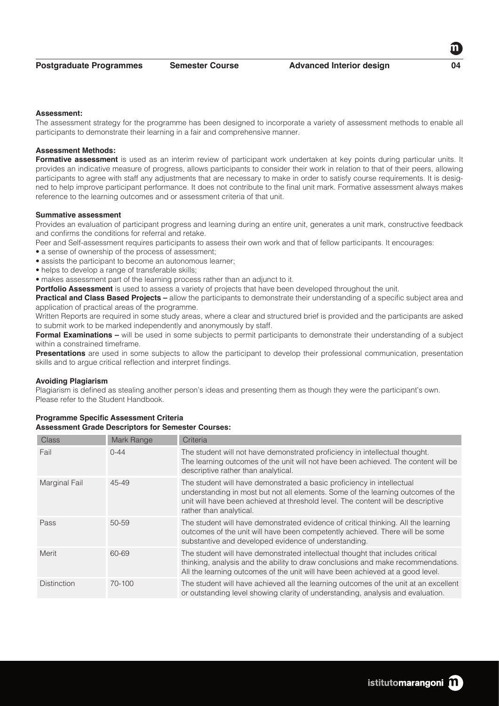#### **Assessment:**

The assessment strategy for the programme has been designed to incorporate a variety of assessment methods to enable all participants to demonstrate their learning in a fair and comprehensive manner.

# **Assessment Methods:**

Formative assessment is used as an interim review of participant work undertaken at key points during particular units. It provides an indicative measure of progress, allows participants to consider their work in relation to that of their peers, allowing participants to agree with staff any adjustments that are necessary to make in order to satisfy course requirements. It is designed to help improve participant performance. It does not contribute to the final unit mark. Formative assessment always makes reference to the learning outcomes and or assessment criteria of that unit.

# **Summative assessment**

Provides an evaluation of participant progress and learning during an entire unit, generates a unit mark, constructive feedback and confirms the conditions for referral and retake.

Peer and Self-assessment requires participants to assess their own work and that of fellow participants. It encourages:

- a sense of ownership of the process of assessment;
- assists the participant to become an autonomous learner;
- helps to develop a range of transferable skills;

• makes assessment part of the learning process rather than an adjunct to it.

**Portfolio Assessment** is used to assess a variety of projects that have been developed throughout the unit.

**Practical and Class Based Projects –** allow the participants to demonstrate their understanding of a specific subject area and application of practical areas of the programme.

Written Reports are required in some study areas, where a clear and structured brief is provided and the participants are asked to submit work to be marked independently and anonymously by staff.

**Formal Examinations –** will be used in some subjects to permit participants to demonstrate their understanding of a subject within a constrained timeframe.

**Presentations** are used in some subjects to allow the participant to develop their professional communication, presentation skills and to argue critical reflection and interpret findings.

#### **Avoiding Plagiarism**

Plagiarism is defined as stealing another person's ideas and presenting them as though they were the participant's own. Please refer to the Student Handbook.

| Class              | Mark Range | Criteria                                                                                                                                                                                                                                                                  |
|--------------------|------------|---------------------------------------------------------------------------------------------------------------------------------------------------------------------------------------------------------------------------------------------------------------------------|
| Fail               | $0 - 44$   | The student will not have demonstrated proficiency in intellectual thought.<br>The learning outcomes of the unit will not have been achieved. The content will be<br>descriptive rather than analytical.                                                                  |
| Marginal Fail      | 45-49      | The student will have demonstrated a basic proficiency in intellectual<br>understanding in most but not all elements. Some of the learning outcomes of the<br>unit will have been achieved at threshold level. The content will be descriptive<br>rather than analytical. |
| Pass               | 50-59      | The student will have demonstrated evidence of critical thinking. All the learning<br>outcomes of the unit will have been competently achieved. There will be some<br>substantive and developed evidence of understanding.                                                |
| Merit              | 60-69      | The student will have demonstrated intellectual thought that includes critical<br>thinking, analysis and the ability to draw conclusions and make recommendations.<br>All the learning outcomes of the unit will have been achieved at a good level.                      |
| <b>Distinction</b> | 70-100     | The student will have achieved all the learning outcomes of the unit at an excellent<br>or outstanding level showing clarity of understanding, analysis and evaluation.                                                                                                   |

#### **Programme Specific Assessment Criteria Assessment Grade Descriptors for Semester Courses:**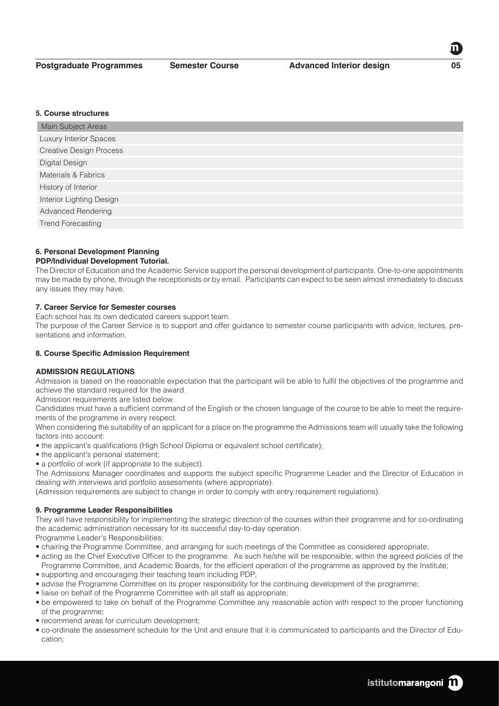#### **5. Course structures**

| Main Subject Areas             |
|--------------------------------|
| Luxury Interior Spaces         |
| <b>Creative Design Process</b> |
| Digital Design                 |
| Materials & Fabrics            |
| History of Interior            |
| Interior Lighting Design       |
| <b>Advanced Rendering</b>      |
| <b>Trend Forecasting</b>       |

# **6. Personal Development Planning**

# **PDP/Individual Development Tutorial.**

The Director of Education and the Academic Service support the personal development of participants. One-to-one appointments may be made by phone, through the receptionists or by email. Participants can expect to be seen almost immediately to discuss any issues they may have.

# **7. Career Service for Semester courses**

Each school has its own dedicated careers support team.

The purpose of the Career Service is to support and offer guidance to semester course participants with advice, lectures, presentations and information.

# **8. Course Specific Admission Requirement**

# **ADMISSION REGULATIONS**

Admission is based on the reasonable expectation that the participant will be able to fulfil the objectives of the programme and achieve the standard required for the award.

Admission requirements are listed below.

Candidates must have a sufficient command of the English or the chosen language of the course to be able to meet the requirements of the programme in every respect.

When considering the suitability of an applicant for a place on the programme the Admissions team will usually take the following factors into account:

- the applicant's qualifications (High School Diploma or equivalent school certificate);
- the applicant's personal statement;
- a portfolio of work (if appropriate to the subject).

The Admissions Manager coordinates and supports the subject specific Programme Leader and the Director of Education in dealing with interviews and portfolio assessments (where appropriate).

(Admission requirements are subject to change in order to comply with entry requirement regulations).

# **9. Programme Leader Responsibilities**

They will have responsibility for implementing the strategic direction of the courses within their programme and for co-ordinating the academic administration necessary for its successful day-to-day operation.

Programme Leader's Responsibilities:

- chairing the Programme Committee, and arranging for such meetings of the Committee as considered appropriate;
- acting as the Chief Executive Officer to the programme. As such he/she will be responsible, within the agreed policies of the Programme Committee, and Academic Boards, for the efficient operation of the programme as approved by the Institute;
- supporting and encouraging their teaching team including PDP;
- advise the Programme Committee on its proper responsibility for the continuing development of the programme;
- liaise on behalf of the Programme Committee with all staff as appropriate:
- be empowered to take on behalf of the Programme Committee any reasonable action with respect to the proper functioning of the programme;
- recommend areas for curriculum development;
- co-ordinate the assessment schedule for the Unit and ensure that it is communicated to participants and the Director of Education;